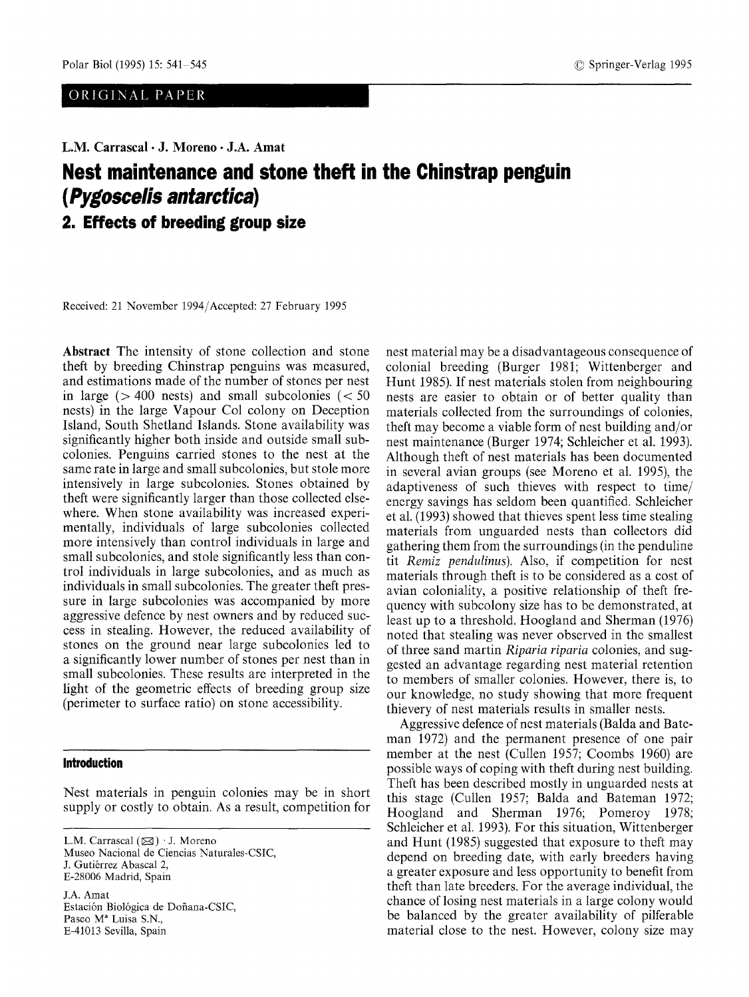ORIGINAL PAPER

**L.M. Carrascal • J. Moreno • J.A. Amat** 

# **Nest maintenance and stone theft in the Chinstrap penguin**  *( Pygoscelis antarctica)*

**2. Effects of breeding group size** 

Received: 21 November 1994/Accepted: 27 February 1995

**Abstract** The intensity of stone collection and stone theft by breeding Chinstrap penguins was measured, and estimations made of the number of stones per nest in large ( $> 400$  nests) and small subcolonies ( $< 50$ nests) in the large Vapour Col colony on Deception Island, South Shetland Islands. Stone availability was significantly higher both inside and outside small subcolonies. Penguins carried stones to the nest at the same rate in large and small subcolonies, but stole more intensively in large subcolonies. Stones obtained by theft were significantly larger than those collected elsewhere. When stone availability was increased experimentally, individuals of large subcolonies collected more intensively than control individuals in large and small subcolonies, and stole significantly less than control individuals in large subcolonies, and as much as individuals in small subcolonies. The greater theft pressure in large subcolonies was accompanied by more aggressive defence by nest owners and by reduced success in stealing. However, the reduced availability of stones on the ground near large subcolonies led to a significantly lower number of stones per nest than in small subcolonies. These results are interpreted in the light of the geometric effects of breeding group size (perimeter to surface ratio) on stone accessibility.

## **Introduction**

Nest materials in penguin colonies may be in short supply or costly to obtain. As a result, competition for

L.M. Carrascal  $(\boxtimes)$   $\cdot$  J. Moreno Museo Nacional de Ciencias Naturales-CSIC, J. Gutiérrez Abascal 2, E-28006 Madrid, Spain

J.A. Amat Estación Biológica de Doñana-CSIC, Paseo M<sup>ª</sup> Luisa S.N., E-41013 Sevilla, Spain

nest material may be a disadvantageous consequence of colonial breeding (Burger 1981; Wittenberger and Hunt 1985). If nest materials stolen from neighbouring nests are easier to obtain or of better quality than materials collected from the surroundings of colonies, theft may become a viable form of nest building and/or nest maintenance (Burger 1974; Schleicher et al. 1993). Although theft of nest materials has been documented in several avian groups (see Moreno et al. 1995), the adaptiveness of such thieves with respect to time/ energy savings has seldom been quantified. Schleicher et al. (1993) showed that thieves spent less time stealing materials from unguarded nests than collectors did gathering them from the surroundings (in the penduline tit *Remiz pendulinus).* Also, if competition for nest materials through theft is to be considered as a cost of avian coloniality, a positive relationship of theft frequency with subcolony size has to be demonstrated, at least up to a threshold. Hoogland and Sherman (1976) noted that stealing was never observed in the smallest of three sand martin *Riparia riparia* colonies, and suggested an advantage regarding nest material retention to members of smaller colonies. However, there is, to our knowledge, no study showing that more frequent thievery of nest materials results in smaller nests.

Aggressive defence of nest materials (Balda and Bateman 1972) and the permanent presence of one pair member at the nest (Cullen 1957; Coombs 1960) are possible ways of coping with theft during nest building. Theft has been described mostly in unguarded nests at this stage (Cullen 1957; Balda and Bateman 1972; Hoogland and Sherman 1976; Pomeroy 1978; Schleicher et al. 1993). For this situation, Wittenberger and Hunt (1985) suggested that exposure to theft may depend on breeding date, with early breeders having a greater exposure and less opportunity to benefit from theft than late breeders. For the average individual, the chance of losing nest materials in a large colony would be balanced by the greater availability of pilferable material close to the nest. However, colony size may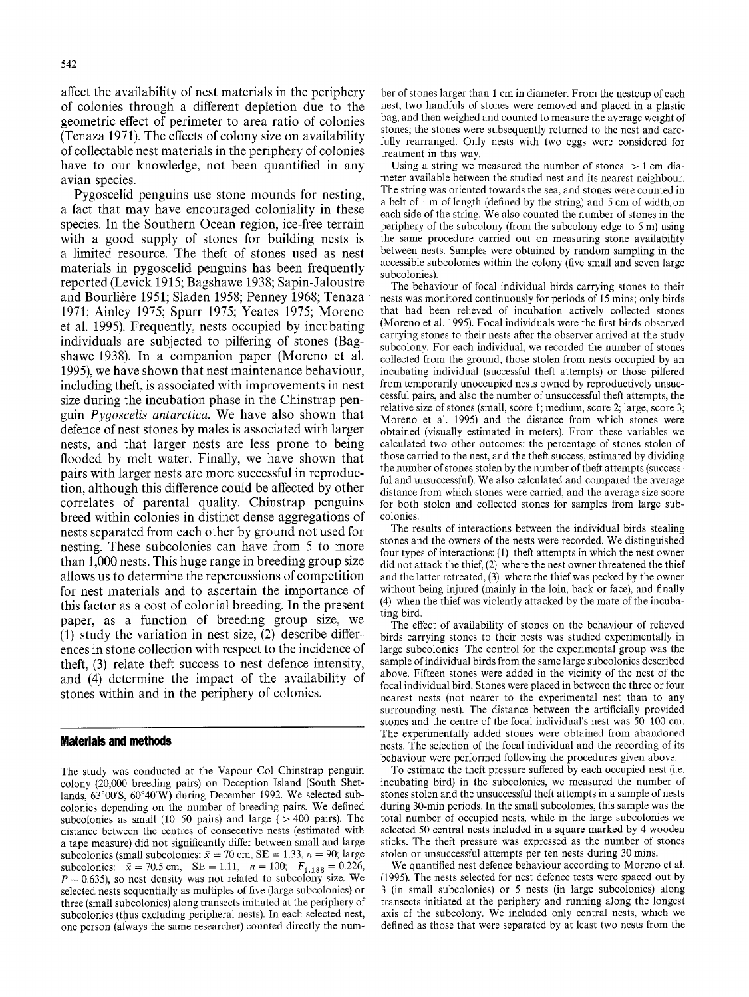affect the availability of nest materials in the periphery of colonies through a different depletion due to the geometric effect of perimeter to area ratio of colonies (Tenaza 1971). The effects of colony size on availability of collectable nest materials in the periphery of colonies have to our knowledge, not been quantified in any avian species.

Pygoscelid penguins use stone mounds for nesting, a fact that may have encouraged coloniality in these species. In the Southern Ocean region, ice-free terrain with a good supply of stones for building nests is a limited resource. The theft of stones used as nest materials in pygoscelid penguins has been frequently reported (Levick 1915; Bagshawe 1938; Sapin-Jaloustre and Bourlière 1951; Sladen 1958; Penney 1968; Tenaza 1971; Ainley 1975; Spurr 1975; Yeates 1975; Moreno et al. 1995). Frequently, nests occupied by incubating individuals are subjected to pilfering of stones (Bagshawe 1938). In a companion paper (Moreno et al. 1995), we have shown that nest maintenance behaviour, including theft, is associated with improvements in nest size during the incubation phase in the Chinstrap penguin *Pygoscelis antarctica.* We have also shown that defence of nest stones by males is associated with larger nests, and that larger nests are less prone to being flooded by melt water. Finally, we have shown that pairs with larger nests are more successful in reproduction, although this difference could be affected by other correlates of parental quality. Chinstrap penguins breed within colonies in distinct dense aggregations of nests separated from each other by ground not used for nesting. These subcolonies can have from 5 to more than 1,000 nests. This huge range in breeding group size allows us to determine the repercussions of competition for nest materials and to ascertain the importance of this factor as a cost of colonial breeding. In the present paper, as a function of breeding group size, we (1) study the variation in nest size, (2) describe differences in stone collection with respect to the incidence of theft, (3) relate theft success to nest defence intensity, and (4) determine the impact of the availability of stones within and in the periphery of colonies.

#### **Materials and methods**

The study was conducted at the Vapour Col Chinstrap penguin colony (20,000 breeding pairs) on Deception Island (South Shetlands,  $63^{\circ}00^{\prime}S$ ,  $60^{\circ}40^{\prime}W$ ) during December 1992. We selected subcolonies depending on the number of breeding pairs. We defined subcolonies as small (10-50 pairs) and large  $($  > 400 pairs). The distance between the centres of consecutive nests (estimated with a tape measure) did not significantly differ between small and large subcolonies (small subcolonies:  $\bar{x} = 70$  cm, SE = 1.33,  $n = 90$ ; large subcolonies:  $\bar{x} = 70.5$  cm,  $SE = 1.11$ ,  $n = 100$ ;  $F_{1.188} = 0.226$ ,  $P = 0.635$ ), so nest density was not related to subcolony size. We selected nests sequentially as multiples of five (large subcolonies) or three (small subcolonies) along transects initiated at the periphery of subcolonies (thus excluding peripheral nests). In each selected nest, one person (always the same researcher) counted directly the num-

ber of stones larger than 1 cm in diameter. From the nestcup of each nest, two handfuls of stones were removed and placed in a plastic bag, and then weighed and counted to measure the average weight of stones; the stones were subsequently returned to the nest and carefully rearranged. Only nests with two eggs were considered for treatment in this way.

Using a string we measured the number of stones  $> 1$  cm diameter available between the studied nest and its nearest neighbour. The string was oriented towards the sea, and stones were counted in a belt of 1 m of length (defined by the string) and 5 cm of width, on each side of the string. We also counted the number of stones in the periphery of the subcolony (from the subcolony edge to 5 m) using the same procedure carried out on measuring stone availability between nests. Samples were obtained by random sampling in the accessible subcolonies within the colony (five small and seven large subcolonies).

The behaviour of focal individual birds carrying stones to their nests was monitored continuously for periods of 15 mins; only birds that had been relieved of incubation actively collected stones (Moreno et al. 1995). Focal individuals were the first birds observed carrying stones to their nests after the observer arrived at the study subcolony. For each individual, we recorded the number of stones collected from the ground, those stolen from nests occupied by an incubating individual (successful theft attempts) or those pilfered from temporarily unoccupied nests owned by reproductively unsuccessful pairs, and also the number of unsuccessful theft attempts, the relative size of stones (small, score 1; medium, score 2; large, score 3; Moreno et al. 1995) and the distance from which stones were obtained (visually estimated in meters). From these variables we calculated two other outcomes: the percentage of stones stolen of those carried to the nest, and the theft success, estimated by dividing the number of stones stolen by the number of theft attempts (successful and unsuccessful). We also calculated and compared the average distance from which stones were carried, and the average size score for both stolen and collected stones for samples from large subcolonies.

The results of interactions between the individual birds stealing stones and the owners of the nests were recorded. We distinguished four types of interactions: (1) theft attempts in which the nest owner did not attack the thief, (2) where the nest owner threatened the thief and the latter retreated, (3) where the thief was pecked by the owner without being injured (mainly in the loin, back or face), and finally (4) when the thief was violently attacked by the mate of the incubating bird.

The effect of availability of stones on the behaviour of relieved birds carrying stones to their nests was studied experimentally in large subcolonies. The control for the experimental group was the sample of individual birds from the same large subcolonies described above. Fifteen stones were added in the vicinity of the nest of the focal individual bird. Stones were placed in between the three or four nearest nests (not nearer to the experimental nest than to any surrounding nest). The distance between the artificially provided stones and the centre of the focal individual's nest was  $50-100$  cm. The experimentally added stones were obtained from abandoned nests. The selection of the focal individual and the recording of its behaviour were performed following the procedures given above.

To estimate the theft pressure suffered by each occupied nest (i.e. incubating bird) in the subcolonies, we measured the number of stones stolen and the unsuccessful theft attempts in a sample of nests during 30-min periods. In the small subcolonies, this sample was the total number of occupied nests, while in the large subcolonies we selected 50 central nests included in a square marked by 4 wooden sticks. The theft pressure was expressed as the number of stones stolen or unsuccessful attempts per ten nests during 30 mins.

We quantified nest defence behaviour according to Moreno et al. (1995). The nests selected for nest defence tests were spaced out by 3 (in small subcolonies) or 5 nests (in large subcolonies) along transects initiated at the periphery and running along the longest axis of the subcolony. We included only central nests, which we defined as those that were separated by at least two nests from the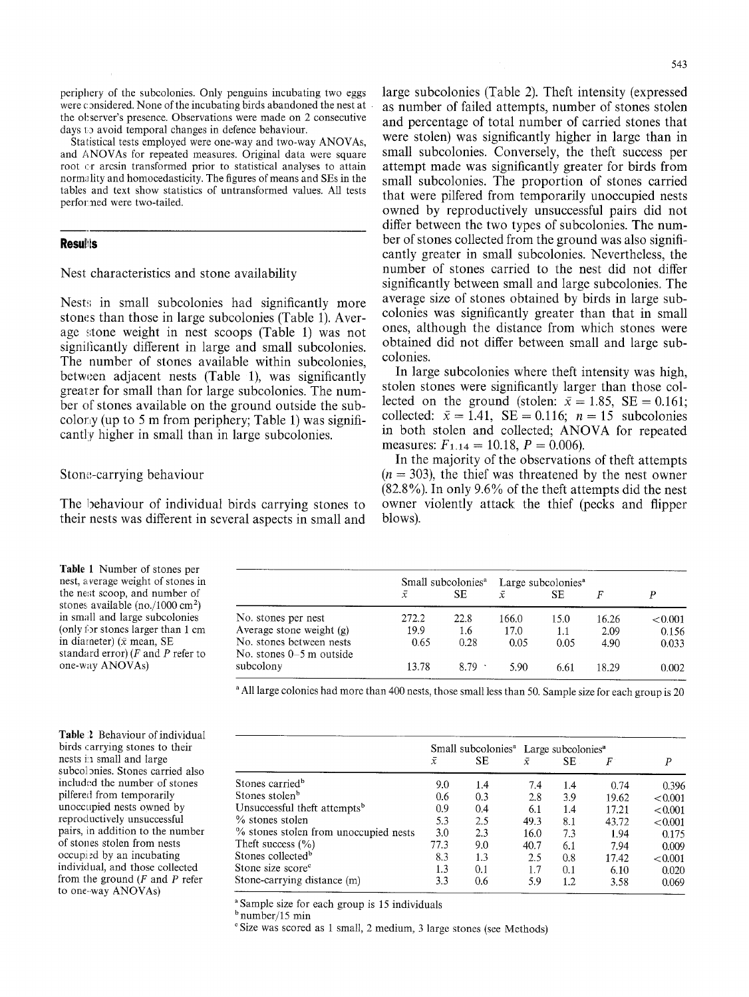periphery of the subcolonies. Only penguins incubating two eggs were considered. None of the incubating birds abandoned the nest at the observer's presence. Observations were made on 2 consecutive days to avoid temporal changes in defence behaviour.

Statistical tests employed were one-way and two-way ANOVAs, and ANOVAs for repeated measures. Original data were square root or arcsin transformed prior to statistical analyses to attain normality and homocedasticity. The figures of means and SEs in the tables and text show statistics of untransformed values. All tests performed were two-tailed.

#### **Resulits**

Nest characteristics and stone availability

Nests in small subcolonies had significantly more stones than those in large subcolonies (Table 1). Average stone weight in nest scoops (Table 1) was not significantly different in large and small subcolonies. The number of stones available within subcolonies, between adjacent nests (Table 1), was significantly greater for small than for large subcolonies. The number of stones available on the ground outside the subcolorly (up to 5 m from periphery; Table 1) was significantly higher in small than in large subcolonies.

Stone-carrying behaviour

The behaviour of individual birds carrying stones to their nests was different in several aspects in small and large subcolonies (Table 2). Theft intensity (expressed as number of failed attempts, number of stones stolen and percentage of total number of carried stones that were stolen) was significantly higher in large than in small subcolonies. Conversely, the theft success per attempt made was significantly greater for birds from small subcolonies. The proportion of stones carried that were pilfered from temporarily unoccupied nests owned by reproductively unsuccessful pairs did not differ between the two types of subcolonies. The number of stones collected from the ground was also significantly greater in small subcolonies. Nevertheless, the number of stones carried to the nest did not differ significantly between small and large subcolonies. The average size of stones obtained by birds in large subcolonies was significantly greater than that in small ones, although the distance from which stones were obtained did not differ between small and large subcolonies.

In large subcolonies where theft intensity was high, stolen stones were significantly larger than those collected on the ground (stolen:  $\bar{x} = 1.85$ , SE = 0.161; collected:  $\bar{x} = 1.41$ , SE = 0.116;  $n = 15$  subcolonies in both stolen and collected; ANOVA for repeated measures:  $F_{1.14} = 10.18$ ,  $P = 0.006$ ).

In the majority of the observations of theft attempts  $(n = 303)$ , the thief was threatened by the nest owner  $(82.8\%)$ . In only 9.6% of the theft attempts did the nest owner violently attack the thief (pecks and flipper blows).

Table 1 Number of stones per nest, average weight of stones in the nest scoop, and number of stones available (no./1000 cm<sup>2</sup>) in small and large subcolonies (only for stones larger than  $1 \text{ cm}$ ) in diameter) ( $\bar{x}$  mean, SE standard error)  $(F$  and  $P$  refer to one-way ANOVAs)

Small subcolonies<sup>a</sup> Large subcolonies<sup>a</sup>  $\bar{x}$  SE  $\bar{x}$  $SE$   $\bar{x}$   $SE$   $F$   $P$ No. stones per nest 272.2 22.8 166.0 15.0 16.26 <0.001<br>Average stone weight (g) 19.9 1.6 17.0 11 2.09 0.156 Average stone weight (g)  $19.9$  1.6 17.0 1.1 2.09 0.156<br>No. stones between nests 0.65 0.28 0.05 0.05 4.90 0.033 No. stones between nests 0.65 0.28 0.05 0.05 4.90 0.033 No. stones  $0-5$  m outside subcolony subcolony 13.78 8.79 5.90 6.61 18.29 0.002

<sup>a</sup> All large colonies had more than 400 nests, those small less than 50. Sample size for each group is 20

Table 2 Behaviour of individual birds carrying stones to their nests in small and large subcolonies. Stones carried also included the number of stones pilfered from temporarily unoccupied nests owned by reproductively unsuccessful pairs, in addition to the number of stones stolen from nests occupied by an incubating individual, and those collected from the ground  $(F$  and  $P$  refer to one-way ANOVAs)

Small subcolonies<sup>a</sup> Large subcolonies<sup>a</sup>  $\bar{x}$  $SE$   $\bar{x}$   $SE$   $F$   $P$ Stones carried b 9.0 1.4 7.4 1.4 0.74 0.396 Stones stolen<sup>b</sup> 0.6 0.3 2.8 3.9 19.62 <0.001<br>Unsuccessful theft attempts<sup>b</sup> 0.9 0.4 6.1 1.4 17.21 <0.001 Unsuccessful theft attempts<sup>b</sup> 0.9 0.4 6.1 1.4 17.21  $< 0.001$ % stones stolen 5.3 2.5 49.3 8.1 43.72 < 0.001 <br>
% stones stolen from unoccupied nests 3.0 2.3 16.0 7.3 194 0.175 % stones stolen from unoccupied nests 3.0 2.3 16.0 7.3 1.94 0.175 Theft success (%) 77.3 9.0 40.7 6.1 7.94 0.009 Stones collected b 8.3 1.3 2.5 0.8 17.42 <0.001<br>Stone size score 1.3 0.1 1.7 0.1 6.10 0.020 Stone size score<sup>c</sup> 1.3 0.1 1.7 0.1 6.10 0.020 Stone-carrying distance (m) 3.3 0.6 5.9 1.2 3.58 0.069

Sample size for each group is 15 individuals

 $<sup>b</sup>$  number/15 min</sup>

<sup>e</sup> Size was scored as 1 small, 2 medium, 3 large stones (see Methods)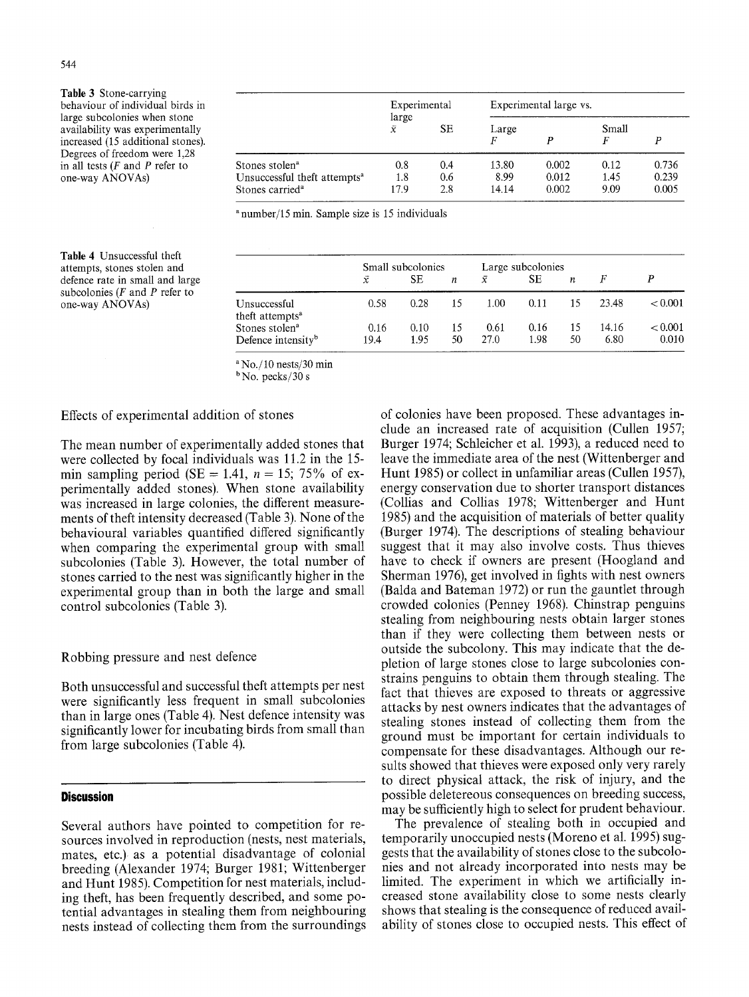Table 3 Stone-carrying behaviour of individual birds in large subcolonies when stone availability was experimentally increased (15 additional stones). Degrees of freedom were 1,28 in all tests  $(F$  and  $P$  refer to one-way ANOVAs)

|                                          | Experimental       |           | Experimental large vs. |       |            |       |  |
|------------------------------------------|--------------------|-----------|------------------------|-------|------------|-------|--|
|                                          | large<br>$\bar{x}$ | <b>SE</b> | Large<br>F             | р     | Small<br>F | P     |  |
| Stones stolen <sup>a</sup>               | 0.8                | 0.4       | 13.80                  | 0.002 | 0.12       | 0.736 |  |
| Unsuccessful theft attempts <sup>a</sup> | 1.8                | 0.6       | 8.99                   | 0.012 | 1.45       | 0.239 |  |
| Stones carried <sup>a</sup>              | 17.9               | 2.8       | 14.14                  | 0.002 | 9.09       | 0.005 |  |

a number/15 min. Sample size is 15 individuals

Table 4 Unsuccessful theft attempts, stones stolen and defence rate in small and large subcolonies  $(F \text{ and } P \text{ refer to})$ one-way ANOVAs)

|                                                              | Small subcolonies |              |    | Large subcolonies |              |          |               |                         |
|--------------------------------------------------------------|-------------------|--------------|----|-------------------|--------------|----------|---------------|-------------------------|
|                                                              | Ÿ.                | SЕ           | п  | $\bar{x}$         | SЕ           | п        |               |                         |
| Unsuccessful<br>theft attempts <sup>a</sup>                  | 0.58              | 0.28         |    | 1.00              | 0.11         | 15       | 23.48         | ${}_{< 0.001}$          |
| Stones stolen <sup>a</sup><br>Defence intensity <sup>b</sup> | 0.16<br>19.4      | 0.10<br>1.95 | 50 | 0.61<br>27.0      | 0.16<br>1.98 | 15<br>50 | 14.16<br>6.80 | ${}_{< 0.001}$<br>0.010 |

 $a$  No./10 nests/30 min

 $b$ No. pecks/30 s

## Effects of experimental addition of stones

The mean number of experimentally added stones that were collected by focal individuals was 11.2 in the 15 min sampling period (SE = 1.41,  $n = 15$ ; 75% of experimentally added stones). When stone availability was increased in large colonies, the different measurements of theft intensity decreased (Table 3). None of the behavioural variables quantified differed significantly when comparing the experimental group with small subcolonies (Table 3). However, the total number of stones carried to the nest was significantly higher in the experimental group than in both the large and small control subcolonies (Table 3).

#### Robbing pressure and nest defence

Both unsuccessful and successful theft attempts per nest were significantly less frequent in small subcolonies than in large ones (Table 4). Nest defence intensity was significantly lower for incubating birds from small than from large subcolonies (Table 4).

# **Discussion**

Several authors have pointed to competition for resources involved in reproduction (nests, nest materials, mates, etc.) as a potential disadvantage of colonial breeding (Alexander 1974; Burger 1981; Wittenberger and Hunt 1985). Competition for nest materials, including theft, has been frequently described, and some potential advantages in stealing them from neighbouring nests instead of collecting them from the surroundings of colonies have been proposed. These advantages include an increased rate of acquisition (Cullen 1957; Burger 1974; Schleicher et al. 1993), a reduced need to leave the immediate area of the nest (Wittenberger and Hunt 1985) or collect in unfamiliar areas (Cullen 1957), energy conservation due to shorter transport distances (Collias and Collias 1978; Wittenberger and Hunt 1985) and the acquisition of materials of better quality (Burger 1974). The descriptions of stealing behaviour suggest that it may also involve costs. Thus thieves have to check if owners are present (Hoogland and Sherman 1976), get involved in fights with nest owners (Balda and Bateman 1972) or run the gauntlet through crowded colonies (Penney 1968). Chinstrap penguins stealing from neighbouring nests obtain larger stones than if they were collecting them between nests or outside the subcolony. This may indicate that the depletion of large stones close to large subcolonies constrains penguins to obtain them through stealing. The fact that thieves are exposed to threats or aggressive attacks by nest owners indicates that the advantages of stealing stones instead of collecting them from the ground must be important for certain individuals to compensate for these disadvantages. Although our results showed that thieves were exposed only very rarely to direct physical attack, the risk of injury, and the possible deletereous consequences on breeding success, may be sufficiently high to select for prudent behaviour.

The prevalence of stealing both in occupied and temporarily unoccupied nests (Moreno et al. 1995) suggests that the availability of stones close to the subcolonies and not already incorporated into nests may be limited. The experiment in which we artificially increased stone availability close to some nests clearly shows that stealing is the consequence of reduced availability of stones close to occupied nests. This effect of